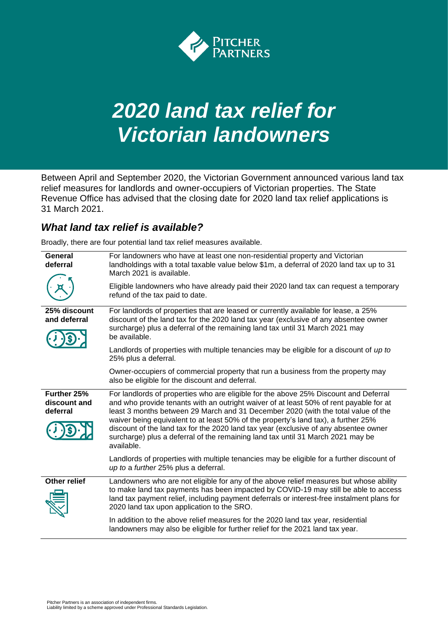

# *2020 land tax relief for Victorian landowners*

Between April and September 2020, the Victorian Government announced various land tax relief measures for landlords and owner-occupiers of Victorian properties. The State Revenue Office has advised that the closing date for 2020 land tax relief applications is 31 March 2021.

# *What land tax relief is available?*

Broadly, there are four potential land tax relief measures available.

| General<br>deferral                     | For landowners who have at least one non-residential property and Victorian<br>landholdings with a total taxable value below \$1m, a deferral of 2020 land tax up to 31<br>March 2021 is available.<br>Eligible landowners who have already paid their 2020 land tax can request a temporary<br>refund of the tax paid to date.                                                                                                                                                                                                                    |
|-----------------------------------------|----------------------------------------------------------------------------------------------------------------------------------------------------------------------------------------------------------------------------------------------------------------------------------------------------------------------------------------------------------------------------------------------------------------------------------------------------------------------------------------------------------------------------------------------------|
| 25% discount<br>and deferral            | For landlords of properties that are leased or currently available for lease, a 25%<br>discount of the land tax for the 2020 land tax year (exclusive of any absentee owner<br>surcharge) plus a deferral of the remaining land tax until 31 March 2021 may<br>be available.                                                                                                                                                                                                                                                                       |
|                                         | Landlords of properties with multiple tenancies may be eligible for a discount of up to<br>25% plus a deferral.                                                                                                                                                                                                                                                                                                                                                                                                                                    |
|                                         | Owner-occupiers of commercial property that run a business from the property may<br>also be eligible for the discount and deferral.                                                                                                                                                                                                                                                                                                                                                                                                                |
| Further 25%<br>discount and<br>deferral | For landlords of properties who are eligible for the above 25% Discount and Deferral<br>and who provide tenants with an outright waiver of at least 50% of rent payable for at<br>least 3 months between 29 March and 31 December 2020 (with the total value of the<br>waiver being equivalent to at least 50% of the property's land tax), a further 25%<br>discount of the land tax for the 2020 land tax year (exclusive of any absentee owner<br>surcharge) plus a deferral of the remaining land tax until 31 March 2021 may be<br>available. |
|                                         | Landlords of properties with multiple tenancies may be eligible for a further discount of<br>up to a further 25% plus a deferral.                                                                                                                                                                                                                                                                                                                                                                                                                  |
| <b>Other relief</b>                     | Landowners who are not eligible for any of the above relief measures but whose ability<br>to make land tax payments has been impacted by COVID-19 may still be able to access<br>land tax payment relief, including payment deferrals or interest-free instalment plans for<br>2020 land tax upon application to the SRO.                                                                                                                                                                                                                          |
|                                         | In addition to the above relief measures for the 2020 land tax year, residential<br>landowners may also be eligible for further relief for the 2021 land tax year.                                                                                                                                                                                                                                                                                                                                                                                 |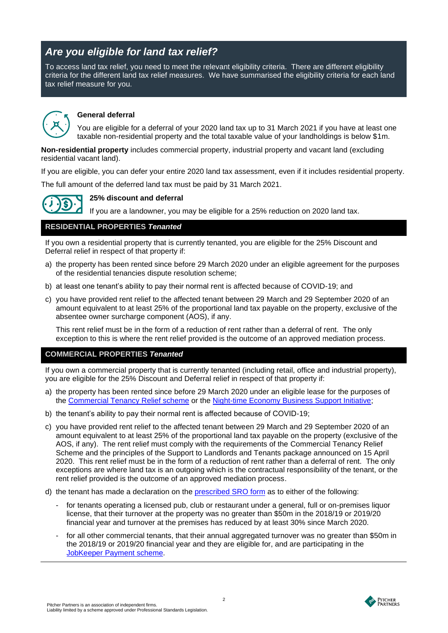# *Are you eligible for land tax relief?*

To access land tax relief, you need to meet the relevant eligibility criteria. There are different eligibility criteria for the different land tax relief measures. We have summarised the eligibility criteria for each land tax relief measure for you.



## **General deferral**

You are eligible for a deferral of your 2020 land tax up to 31 March 2021 if you have at least one taxable non-residential property and the total taxable value of your landholdings is below \$1m.

**Non-residential property** includes commercial property, industrial property and vacant land (excluding residential vacant land).

If you are eligible, you can defer your entire 2020 land tax assessment, even if it includes residential property.

The full amount of the deferred land tax must be paid by 31 March 2021.



**25% discount and deferral**

If you are a landowner, you may be eligible for a 25% reduction on 2020 land tax.

## **RESIDENTIAL PROPERTIES** *Tenanted*

If you own a residential property that is currently tenanted, you are eligible for the 25% Discount and Deferral relief in respect of that property if:

- a) the property has been rented since before 29 March 2020 under an eligible agreement for the purposes of the residential tenancies dispute resolution scheme;
- b) at least one tenant's ability to pay their normal rent is affected because of COVID-19; and
- c) you have provided rent relief to the affected tenant between 29 March and 29 September 2020 of an amount equivalent to at least 25% of the proportional land tax payable on the property, exclusive of the absentee owner surcharge component (AOS), if any.

This rent relief must be in the form of a reduction of rent rather than a deferral of rent. The only exception to this is where the rent relief provided is the outcome of an approved mediation process.

## **COMMERCIAL PROPERTIES** *Tenanted*

If you own a commercial property that is currently tenanted (including retail, office and industrial property), you are eligible for the 25% Discount and Deferral relief in respect of that property if:

- a) the property has been rented since before 29 March 2020 under an eligible lease for the purposes of the [Commercial Tenancy Relief scheme](https://www.business.vic.gov.au/disputes-disasters-and-succession-planning/coronavirus-covid-19/commercial-tenancy-relief-scheme) or the [Night-time Economy Business Support Initiative;](https://www.business.vic.gov.au/support-for-your-business/grants-and-assistance/night-time-economy-business-support-initiative)
- b) the tenant's ability to pay their normal rent is affected because of COVID-19;
- c) you have provided rent relief to the affected tenant between 29 March and 29 September 2020 of an amount equivalent to at least 25% of the proportional land tax payable on the property (exclusive of the AOS, if any). The rent relief must comply with the requirements of the [Commercial Tenancy Relief](https://www.business.vic.gov.au/disputes-disasters-and-succession-planning/coronavirus-covid-19/commercial-tenancy-relief-scheme)  [Scheme](https://www.business.vic.gov.au/disputes-disasters-and-succession-planning/coronavirus-covid-19/commercial-tenancy-relief-scheme) and the principles of the Support to Landlords and Tenants package announced on 15 April 2020. This rent relief must be in the form of a reduction of rent rather than a deferral of rent. The only exceptions are where land tax is an outgoing which is the contractual responsibility of the tenant, or the rent relief provided is the outcome of an approved mediation process.
- d) the tenant has made a declaration on the [prescribed SRO form](https://www.sro.vic.gov.au/forms/coronavirus-land-tax-relief-commercial-tenant-details) as to either of the following:
	- for tenants operating a licensed pub, club or restaurant under a general, full or on-premises liquor license, that their turnover at the property was no greater than \$50m in the 2018/19 or 2019/20 financial year and turnover at the premises has reduced by at least 30% since March 2020.
	- for all other commercial tenants, that their annual aggregated turnover was no greater than \$50m in the 2018/19 or 2019/20 financial year and they are eligible for, and are participating in the [JobKeeper Payment scheme.](https://treasury.gov.au/coronavirus/jobkeeper)

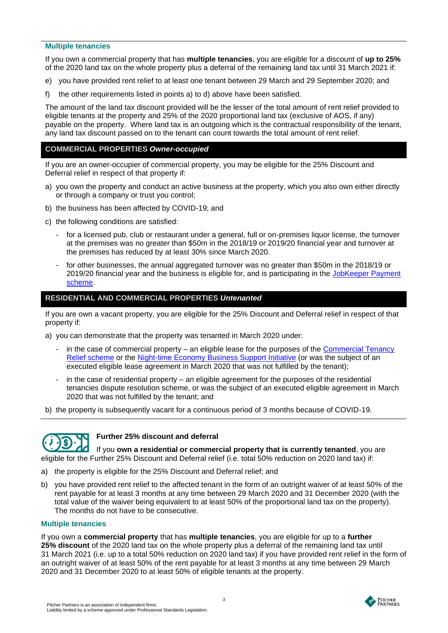## **Multiple tenancies**

If you own a commercial property that has **multiple tenancies**, you are eligible for a discount of **up to 25%** of the 2020 land tax on the whole property plus a deferral of the remaining land tax until 31 March 2021 if:

- e) you have provided rent relief to at least one tenant between 29 March and 29 September 2020; and
- f) the other requirements listed in points a) to d) above have been satisfied.

The amount of the land tax discount provided will be the lesser of the total amount of rent relief provided to eligible tenants at the property and 25% of the 2020 proportional land tax (exclusive of AOS, if any) payable on the property. Where land tax is an outgoing which is the contractual responsibility of the tenant, any land tax discount passed on to the tenant can count towards the total amount of rent relief.

## **COMMERCIAL PROPERTIES** *Owner-occupied*

If you are an owner-occupier of commercial property, you may be eligible for the 25% Discount and Deferral relief in respect of that property if:

- a) you own the property and conduct an active business at the property, which you also own either directly or through a company or trust you control;
- b) the business has been affected by COVID-19; and
- c) the following conditions are satisfied:
	- for a licensed pub, club or restaurant under a general, full or on-premises liquor license, the turnover at the premises was no greater than \$50m in the 2018/19 or 2019/20 financial year and turnover at the premises has reduced by at least 30% since March 2020.
	- for other businesses, the annual aggregated turnover was no greater than \$50m in the 2018/19 or 2019/20 financial year and the business is eligible for, and is participating in the JobKeeper Payment [scheme.](https://treasury.gov.au/coronavirus/jobkeeper)

## **RESIDENTIAL AND COMMERCIAL PROPERTIES** *Untenanted*

If you are own a vacant property, you are eligible for the 25% Discount and Deferral relief in respect of that property if:

a) you can demonstrate that the property was tenanted in March 2020 under:

- in the case of commercial property an eligible lease for the purposes of the Commercial Tenancy [Relief scheme](https://www.business.vic.gov.au/disputes-disasters-and-succession-planning/coronavirus-covid-19/commercial-tenancy-relief-scheme) or the [Night-time Economy Business Support Initiative](https://www.business.vic.gov.au/support-for-your-business/grants-and-assistance/night-time-economy-business-support-initiative) (or was the subject of an executed eligible lease agreement in March 2020 that was not fulfilled by the tenant);
- in the case of residential property an eligible agreement for the purposes of the residential tenancies dispute resolution scheme, or was the subject of an executed eligible agreement in March 2020 that was not fulfilled by the tenant; and

b) the property is subsequently vacant for a continuous period of 3 months because of COVID-19.



## **Further 25% discount and deferral**

If you **own a residential or commercial property that is currently tenanted**, you are eligible for the Further 25% Discount and Deferral relief (i.e. total 50% reduction on 2020 land tax) if:

- a) the property is eligible for the 25% Discount and Deferral relief; and
- b) you have provided rent relief to the affected tenant in the form of an outright waiver of at least 50% of the rent payable for at least 3 months at any time between 29 March 2020 and 31 December 2020 (with the total value of the waiver being equivalent to at least 50% of the proportional land tax on the property). The months do not have to be consecutive.

## **Multiple tenancies**

If you own a **commercial property** that has **multiple tenancies**, you are eligible for up to a **further 25% discount** of the 2020 land tax on the whole property plus a deferral of the remaining land tax until 31 March 2021 (i.e. up to a total 50% reduction on 2020 land tax) if you have provided rent relief in the form of an outright waiver of at least 50% of the rent payable for at least 3 months at any time between 29 March 2020 and 31 December 2020 to at least 50% of eligible tenants at the property.

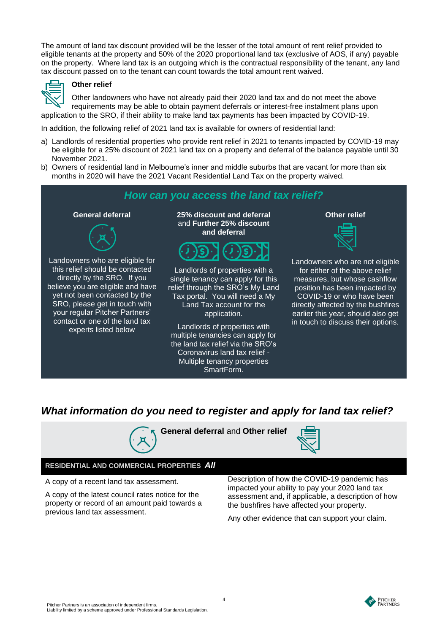The amount of land tax discount provided will be the lesser of the total amount of rent relief provided to eligible tenants at the property and 50% of the 2020 proportional land tax (exclusive of AOS, if any) payable on the property. Where land tax is an outgoing which is the contractual responsibility of the tenant, any land tax discount passed on to the tenant can count towards the total amount rent waived.



## **Other relief**

Other landowners who have not already paid their 2020 land tax and do not meet the above requirements may be able to obtain payment deferrals or interest-free instalment plans upon application to the SRO, if their ability to make land tax payments has been impacted by COVID-19.

In addition, the following relief of 2021 land tax is available for owners of residential land:

- a) Landlords of residential properties who provide rent relief in 2021 to tenants impacted by COVID-19 may be eligible for a 25% discount of 2021 land tax on a property and deferral of the balance payable until 30 November 2021.
- b) Owners of residential land in Melbourne's inner and middle suburbs that are vacant for more than six months in 2020 will have the 2021 Vacant Residential Land Tax on the property waived.



## *What information do you need to register and apply for land tax relief?*



**General deferral** and **Other relief**



## **RESIDENTIAL AND COMMERCIAL PROPERTIES** *All*

A copy of a recent land tax assessment.

A copy of the latest council rates notice for the property or record of an amount paid towards a previous land tax assessment.

Description of how the COVID-19 pandemic has impacted your ability to pay your 2020 land tax assessment and, if applicable, a description of how the bushfires have affected your property.

Any other evidence that can support your claim.

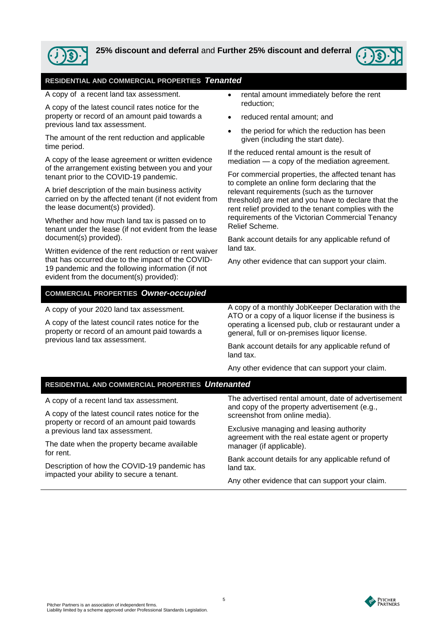

## **25% discount and deferral** and **Further 25% discount and deferral**



## **RESIDENTIAL AND COMMERCIAL PROPERTIES** *Tenanted*

A copy of a recent land tax assessment.

A copy of the latest council rates notice for the property or record of an amount paid towards a previous land tax assessment.

The amount of the rent reduction and applicable time period.

A copy of the lease agreement or written evidence of the arrangement existing between you and your tenant prior to the COVID-19 pandemic.

A brief description of the main business activity carried on by the affected tenant (if not evident from the lease document(s) provided).

Whether and how much land tax is passed on to tenant under the lease (if not evident from the lease document(s) provided).

Written evidence of the rent reduction or rent waiver that has occurred due to the impact of the COVID-19 pandemic and the following information (if not evident from the document(s) provided):

- rental amount immediately before the rent reduction;
- reduced rental amount; and
- the period for which the reduction has been given (including the start date).

If the reduced rental amount is the result of mediation — a copy of the mediation agreement.

For commercial properties, the affected tenant has to complete an online form declaring that the relevant requirements (such as the turnover threshold) are met and you have to declare that the rent relief provided to the tenant complies with the requirements of the Victorian Commercial Tenancy Relief Scheme.

Bank account details for any applicable refund of land tax.

Any other evidence that can support your claim.

## **COMMERCIAL PROPERTIES** *Owner-occupied*

A copy of your 2020 land tax assessment.

A copy of the latest council rates notice for the property or record of an amount paid towards a previous land tax assessment.

A copy of a monthly JobKeeper Declaration with the ATO or a copy of a liquor license if the business is operating a licensed pub, club or restaurant under a general, full or on-premises liquor license.

Bank account details for any applicable refund of land tax.

Any other evidence that can support your claim.

## **RESIDENTIAL AND COMMERCIAL PROPERTIES** *Untenanted*

A copy of a recent land tax assessment.

A copy of the latest council rates notice for the property or record of an amount paid towards a previous land tax assessment.

The date when the property became available for rent.

Description of how the COVID-19 pandemic has impacted your ability to secure a tenant.

The advertised rental amount, date of advertisement and copy of the property advertisement (e.g., screenshot from online media).

Exclusive managing and leasing authority agreement with the real estate agent or property manager (if applicable).

Bank account details for any applicable refund of land tax.

Any other evidence that can support your claim.